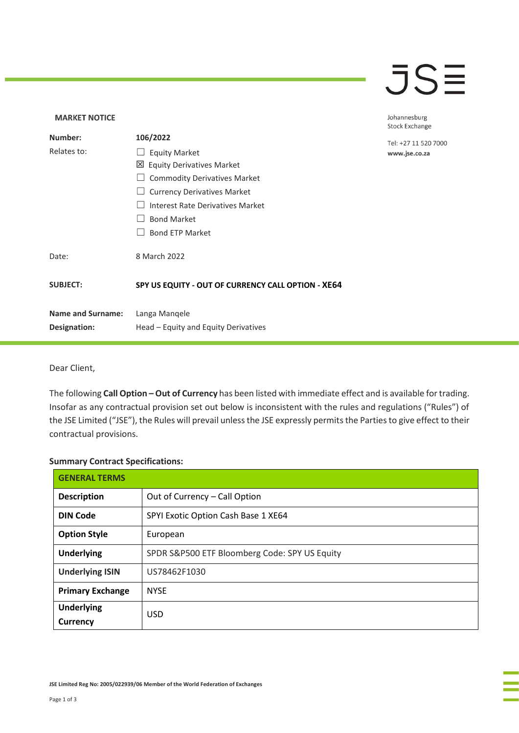### $\overline{\mathsf{J}}\mathsf{S}\overline{\mathsf{H}}$

### **MARKET NOTICE** Johannesburg **Stock Exchange Number: 106/2022** Tel: +27 11 520 7000 Relates to: □ Equity Market www.jse.co.za Equity Derivatives Market ☐ Commodity Derivatives Market □ Currency Derivatives Market ☐ Interest Rate Derivatives Market ☐ Bond Market □ Bond ETP Market Date: 8 March 2022 **SUBJECT: SPY US EQUITY - OUT OF CURRENCY CALL OPTION - XE64 Name and Surname:** Langa Manqele **Designation:** Head – Equity and Equity Derivatives

Dear Client,

The following **Call Option – Out of Currency** has been listed with immediate effect and is available for trading. Insofar as any contractual provision set out below is inconsistent with the rules and regulations ("Rules") of the JSE Limited ("JSE"), the Rules will prevail unless the JSE expressly permits the Parties to give effect to their contractual provisions.

#### **Summary Contract Specifications:**

| <b>GENERAL TERMS</b>          |                                               |
|-------------------------------|-----------------------------------------------|
| <b>Description</b>            | Out of Currency - Call Option                 |
| <b>DIN Code</b>               | SPYI Exotic Option Cash Base 1 XE64           |
| <b>Option Style</b>           | European                                      |
| <b>Underlying</b>             | SPDR S&P500 ETF Bloomberg Code: SPY US Equity |
| <b>Underlying ISIN</b>        | US78462F1030                                  |
| <b>Primary Exchange</b>       | <b>NYSE</b>                                   |
| <b>Underlying</b><br>Currency | <b>USD</b>                                    |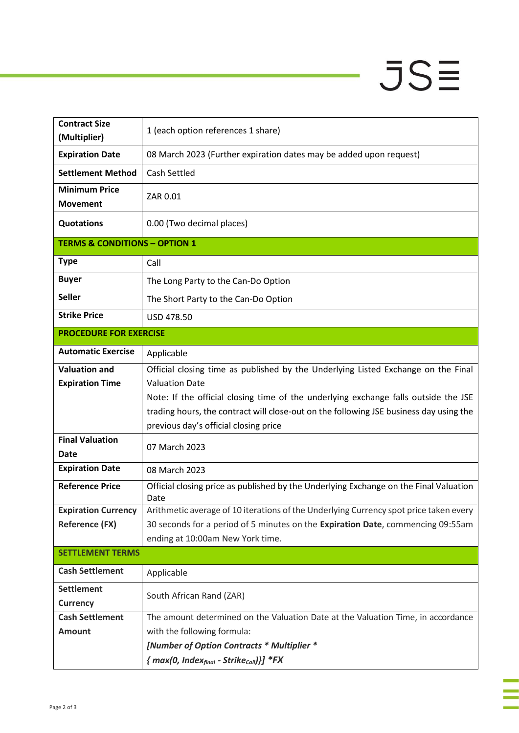# $JSE$

÷

à,

| <b>Contract Size</b><br>(Multiplier)     | 1 (each option references 1 share)                                                                                              |  |
|------------------------------------------|---------------------------------------------------------------------------------------------------------------------------------|--|
| <b>Expiration Date</b>                   | 08 March 2023 (Further expiration dates may be added upon request)                                                              |  |
| <b>Settlement Method</b>                 | Cash Settled                                                                                                                    |  |
| <b>Minimum Price</b><br><b>Movement</b>  | ZAR 0.01                                                                                                                        |  |
| <b>Quotations</b>                        | 0.00 (Two decimal places)                                                                                                       |  |
| <b>TERMS &amp; CONDITIONS - OPTION 1</b> |                                                                                                                                 |  |
| <b>Type</b>                              | Call                                                                                                                            |  |
| <b>Buyer</b>                             | The Long Party to the Can-Do Option                                                                                             |  |
| <b>Seller</b>                            | The Short Party to the Can-Do Option                                                                                            |  |
| <b>Strike Price</b>                      | USD 478.50                                                                                                                      |  |
| <b>PROCEDURE FOR EXERCISE</b>            |                                                                                                                                 |  |
| <b>Automatic Exercise</b>                | Applicable                                                                                                                      |  |
| <b>Valuation and</b>                     | Official closing time as published by the Underlying Listed Exchange on the Final                                               |  |
| <b>Expiration Time</b>                   | <b>Valuation Date</b>                                                                                                           |  |
|                                          | Note: If the official closing time of the underlying exchange falls outside the JSE                                             |  |
|                                          | trading hours, the contract will close-out on the following JSE business day using the<br>previous day's official closing price |  |
| <b>Final Valuation</b>                   | 07 March 2023                                                                                                                   |  |
| Date                                     |                                                                                                                                 |  |
| <b>Expiration Date</b>                   | 08 March 2023                                                                                                                   |  |
| <b>Reference Price</b>                   | Official closing price as published by the Underlying Exchange on the Final Valuation<br>Date                                   |  |
| <b>Expiration Currency</b>               | Arithmetic average of 10 iterations of the Underlying Currency spot price taken every                                           |  |
| <b>Reference (FX)</b>                    | 30 seconds for a period of 5 minutes on the Expiration Date, commencing 09:55am<br>ending at 10:00am New York time.             |  |
| <b>SETTLEMENT TERMS</b>                  |                                                                                                                                 |  |
| <b>Cash Settlement</b>                   | Applicable                                                                                                                      |  |
| <b>Settlement</b>                        |                                                                                                                                 |  |
| <b>Currency</b>                          | South African Rand (ZAR)                                                                                                        |  |
| <b>Cash Settlement</b>                   | The amount determined on the Valuation Date at the Valuation Time, in accordance                                                |  |
| <b>Amount</b>                            | with the following formula:                                                                                                     |  |
|                                          | [Number of Option Contracts * Multiplier *                                                                                      |  |
|                                          | ${mag(0, Index_{final} - Strike_{call})}$ *FX                                                                                   |  |